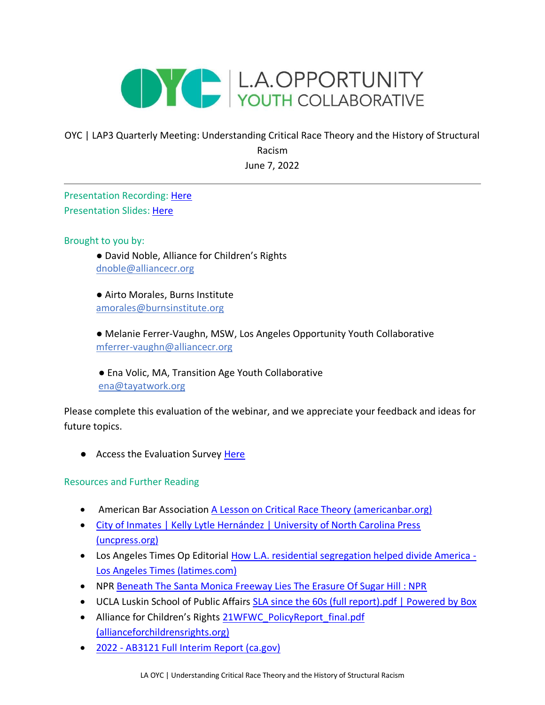

## OYC | LAP3 Quarterly Meeting: Understanding Critical Race Theory and the History of Structural Racism June 7, 2022

Presentation Recording: [Here](https://drive.google.com/file/d/1nVSR1F0LZSFyW3gr8a8lH6qfClmu6Y0y/view?usp=sharing) Presentation Slides: [Here](https://drive.google.com/file/d/1P8diV5Mu2nfiKIFmNZeng201kjnmguFw/view?usp=sharing)

Brought to you by:

● David Noble, Alliance for Children's Rights [dnoble@alliancecr.org](mailto:dnoble@alliancecr.org)

● Airto Morales, Burns Institute amorales@burnsinstitute.org

● Melanie Ferrer-Vaughn, MSW, Los Angeles Opportunity Youth Collaborative mferrer-vaughn@alliancecr.org

● Ena Volic, MA, Transition Age Youth Collaborative [ena@tayatwork.org](mailto:ena@tayatwork.org)

Please complete this evaluation of the webinar, and we appreciate your feedback and ideas for future topics.

● Access the Evaluation Survey [Here](https://www.surveymonkey.com/r/DYLM3HZ)

Resources and Further Reading

- American Bar Association [A Lesson on Critical Race Theory \(americanbar.org\)](https://www.americanbar.org/groups/crsj/publications/human_rights_magazine_home/civil-rights-reimagining-policing/a-lesson-on-critical-race-theory/)
- [City of Inmates | Kelly Lytle Hernández | University of North Carolina Press](https://uncpress.org/book/9781469631189/city-of-inmates/)  [\(uncpress.org\)](https://uncpress.org/book/9781469631189/city-of-inmates/)
- Los Angeles Times Op Editorial [How L.A. residential segregation helped divide America -](https://www.latimes.com/opinion/story/2021-09-10/racial-covenants-los-angeles-pioneered) [Los Angeles Times \(latimes.com\)](https://www.latimes.com/opinion/story/2021-09-10/racial-covenants-los-angeles-pioneered)
- NPR [Beneath The Santa Monica Freeway Lies The Erasure Of Sugar Hill : NPR](https://www.npr.org/2021/05/04/993605428/beneath-the-santa-monica-freeway-lies-the-erasure-of-sugar-hill)
- UCLA Luskin School of Public Affairs [SLA since the 60s \(full report\).pdf | Powered by Box](https://ucla.app.box.com/v/SLA-since-the-60s)
- Alliance for Children's Rights 21WFWC\_PolicyReport\_final.pdf [\(allianceforchildrensrights.org\)](https://allianceforchildrensrights.org/wp-content/uploads/21WFWC_PolicyReport_final.pdf)
- 2022 [AB3121 Full Interim Report \(ca.gov\)](https://oag.ca.gov/system/files/media/ab3121-reparations-interim-report-2022.pdf)